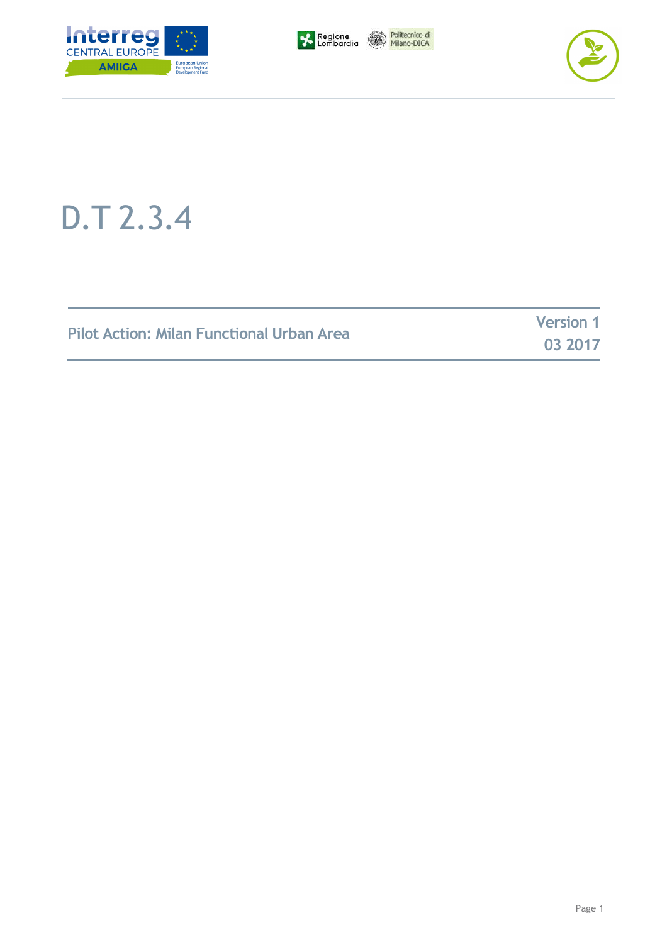







## D.T 2.3.4

| <b>Pilot Action: Milan Functional Urban Area</b> | <b>Version 1</b> |
|--------------------------------------------------|------------------|
|                                                  | 03 2017          |

**03 2017**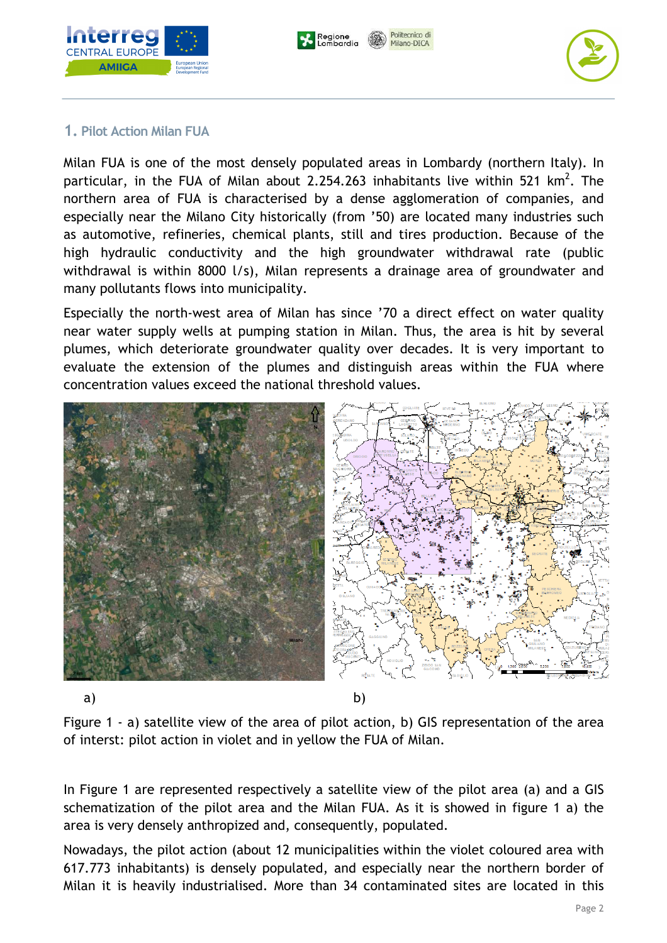





## **1. Pilot Action Milan FUA**

Milan FUA is one of the most densely populated areas in Lombardy (northern Italy). In particular, in the FUA of Milan about 2.254.263 inhabitants live within 521 km<sup>2</sup>. The northern area of FUA is characterised by a dense agglomeration of companies, and especially near the Milano City historically (from '50) are located many industries such as automotive, refineries, chemical plants, still and tires production. Because of the high hydraulic conductivity and the high groundwater withdrawal rate (public withdrawal is within 8000 l/s), Milan represents a drainage area of groundwater and many pollutants flows into municipality.

Especially the north-west area of Milan has since '70 a direct effect on water quality near water supply wells at pumping station in Milan. Thus, the area is hit by several plumes, which deteriorate groundwater quality over decades. It is very important to evaluate the extension of the plumes and distinguish areas within the FUA where concentration values exceed the national threshold values.



Figure 1 - a) satellite view of the area of pilot action, b) GIS representation of the area of interst: pilot action in violet and in yellow the FUA of Milan.

In Figure 1 are represented respectively a satellite view of the pilot area (a) and a GIS schematization of the pilot area and the Milan FUA. As it is showed in figure 1 a) the area is very densely anthropized and, consequently, populated.

Nowadays, the pilot action (about 12 municipalities within the violet coloured area with 617.773 inhabitants) is densely populated, and especially near the northern border of Milan it is heavily industrialised. More than 34 contaminated sites are located in this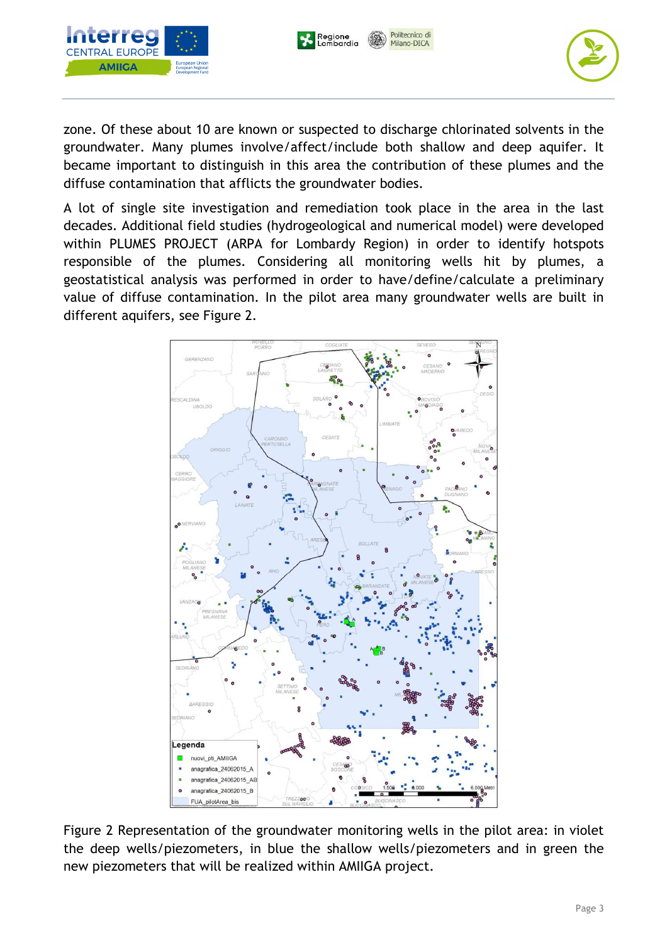





zone. Of these about 10 are known or suspected to discharge chlorinated solvents in the groundwater. Many plumes involve/affect/include both shallow and deep aquifer. It became important to distinguish in this area the contribution of these plumes and the diffuse contamination that afflicts the groundwater bodies.

A lot of single site investigation and remediation took place in the area in the last decades. Additional field studies (hydrogeological and numerical model) were developed within PLUMES PROJECT (ARPA for Lombardy Region) in order to identify hotspots responsible of the plumes. Considering all monitoring wells hit by plumes, a geostatistical analysis was performed in order to have/define/calculate a preliminary value of diffuse contamination. In the pilot area many groundwater wells are built in different aquifers, see Figure 2.



Figure 2 Representation of the groundwater monitoring wells in the pilot area: in violet the deep wells/piezometers, in blue the shallow wells/piezometers and in green the new piezometers that will be realized within AMIIGA project.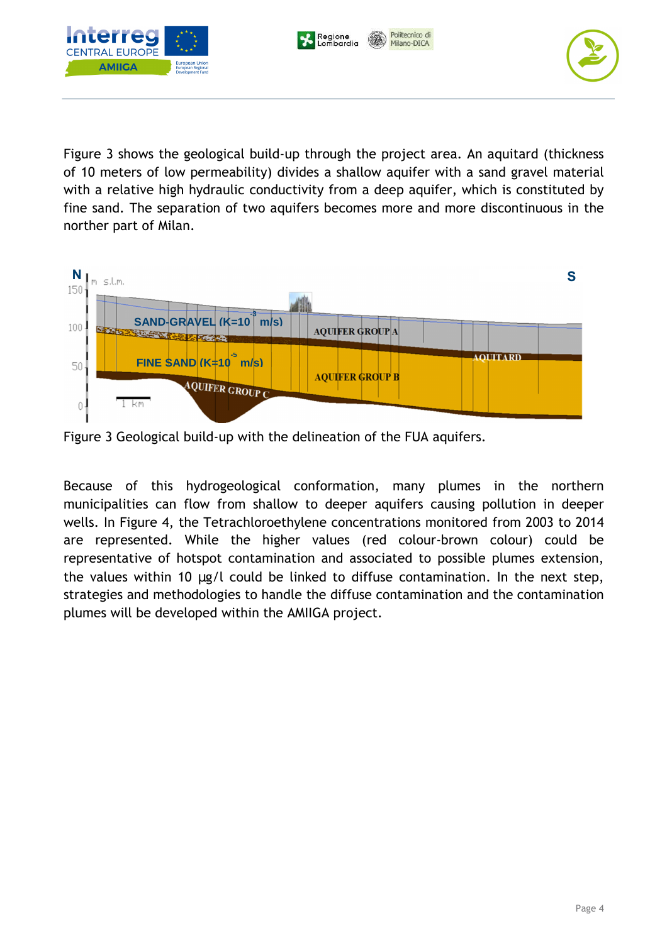Politecnico di Regione<br>Lombardia Milano-DICA



Figure 3 shows the geological build-up through the project area. An aquitard (thickness of 10 meters of low permeability) divides a shallow aquifer with a sand gravel material with a relative high hydraulic conductivity from a deep aquifer, which is constituted by fine sand. The separation of two aquifers becomes more and more discontinuous in the norther part of Milan.



Figure 3 Geological build-up with the delineation of the FUA aquifers.

Because of this hydrogeological conformation, many plumes in the northern municipalities can flow from shallow to deeper aquifers causing pollution in deeper wells. In Figure 4, the Tetrachloroethylene concentrations monitored from 2003 to 2014 are represented. While the higher values (red colour-brown colour) could be representative of hotspot contamination and associated to possible plumes extension, the values within 10 µg/l could be linked to diffuse contamination. In the next step, strategies and methodologies to handle the diffuse contamination and the contamination plumes will be developed within the AMIIGA project.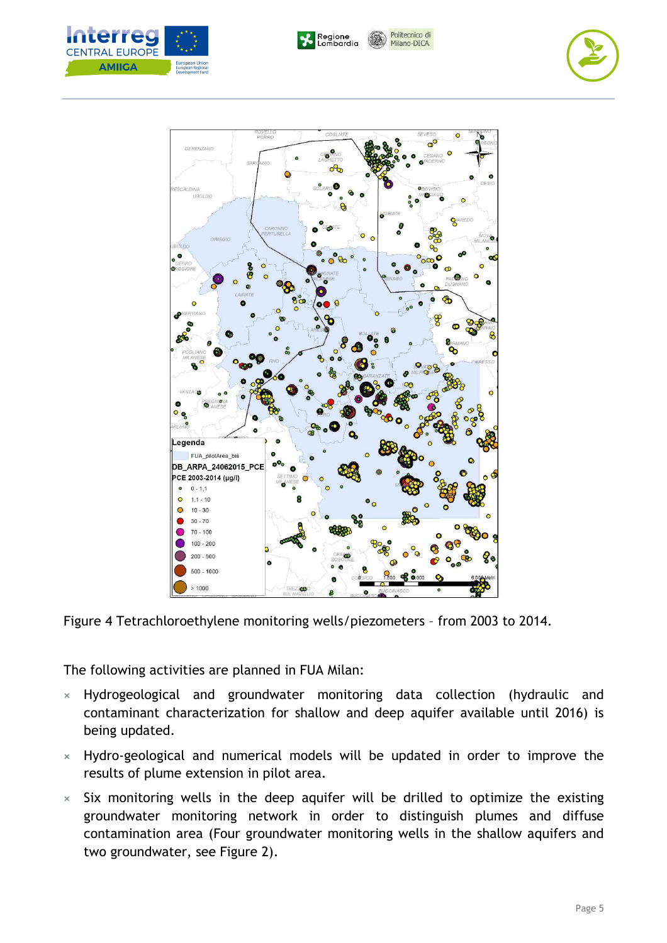Politecnico di Regione<br>Lombardia Milano-DICA







Figure 4 Tetrachloroethylene monitoring wells/piezometers – from 2003 to 2014.

The following activities are planned in FUA Milan:

- **×** Hydrogeological and groundwater monitoring data collection (hydraulic and contaminant characterization for shallow and deep aquifer available until 2016) is being updated.
- **×** Hydro-geological and numerical models will be updated in order to improve the results of plume extension in pilot area.
- **×** Six monitoring wells in the deep aquifer will be drilled to optimize the existing groundwater monitoring network in order to distinguish plumes and diffuse contamination area (Four groundwater monitoring wells in the shallow aquifers and two groundwater, see Figure 2).